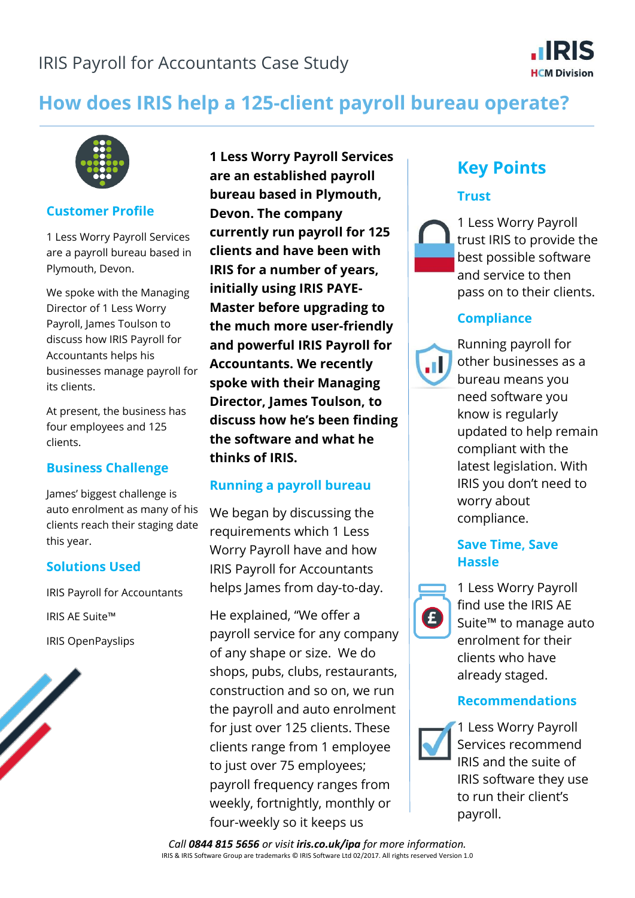

# **How does IRIS help a 125-client payroll bureau operate?**



#### **Customer Profile**

1 Less Worry Payroll Services are a payroll bureau based in Plymouth, Devon.

We spoke with the Managing Director of 1 Less Worry Payroll, James Toulson to discuss how IRIS Payroll for Accountants helps his businesses manage payroll for its clients.

At present, the business has four employees and 125 clients.

## **Business Challenge**

James' biggest challenge is auto enrolment as many of his clients reach their staging date this year.

## **Solutions Used**

IRIS Payroll for Accountants IRIS AE Suite™ IRIS OpenPayslips

**1 Less Worry Payroll Services are an established payroll bureau based in Plymouth, Devon. The company currently run payroll for 125 clients and have been with IRIS for a number of years, initially using IRIS PAYE-Master before upgrading to the much more user-friendly and powerful IRIS Payroll for Accountants. We recently spoke with their Managing Director, James Toulson, to discuss how he's been finding the software and what he thinks of IRIS.**

## **Running a payroll bureau**

We began by discussing the requirements which 1 Less Worry Payroll have and how IRIS Payroll for Accountants helps James from day-to-day.

He explained, "We offer a payroll service for any company of any shape or size. We do shops, pubs, clubs, restaurants, construction and so on, we run the payroll and auto enrolment for just over 125 clients. These clients range from 1 employee to just over 75 employees; payroll frequency ranges from weekly, fortnightly, monthly or four-weekly so it keeps us

# **Key Points**

## **Trust**



1 Less Worry Payroll trust IRIS to provide the best possible software and service to then pass on to their clients.

## **Compliance**



Running payroll for other businesses as a bureau means you need software you know is regularly updated to help remain compliant with the latest legislation. With IRIS you don't need to worry about compliance.

## **Save Time, Save Hassle**



1 Less Worry Payroll find use the IRIS AE Suite™ to manage auto enrolment for their clients who have already staged.

## **Recommendations**



1 Less Worry Payroll Services recommend IRIS and the suite of IRIS software they use to run their client's payroll.

*Call 0844 815 5656 or visit iris.co.uk/ipa for more information.* IRIS & IRIS Software Group are trademarks © IRIS Software Ltd 02/2017. All rights reserved Version 1.0